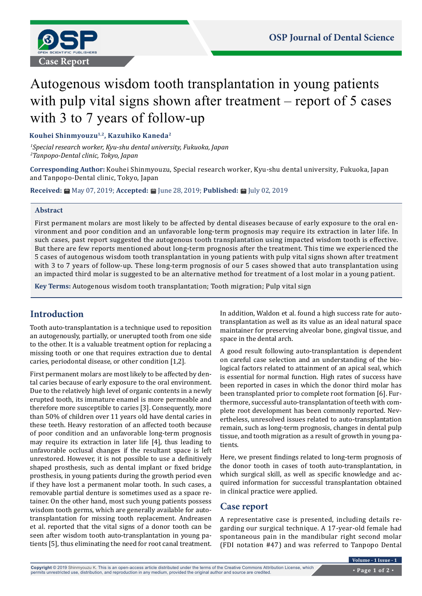

# Autogenous wisdom tooth transplantation in young patients with pulp vital signs shown after treatment – report of 5 cases with 3 to 7 years of follow-up

**Kouhei Shinmyouzu1,2, Kazuhiko Kaneda2**

*1 Special research worker, Kyu-shu dental university, Fukuoka, Japan 2 Tanpopo-Dental clinic, Tokyo, Japan*

**Corresponding Author:** Kouhei Shinmyouzu, Special research worker, Kyu-shu dental university, Fukuoka, Japan and Tanpopo-Dental clinic, Tokyo, Japan

**Received:** May 07, 2019; **Accepted:** June 28, 2019; **Published:** July 02, 2019

### **Abstract**

First permanent molars are most likely to be affected by dental diseases because of early exposure to the oral environment and poor condition and an unfavorable long-term prognosis may require its extraction in later life. In such cases, past report suggested the autogenous tooth transplantation using impacted wisdom tooth is effective. But there are few reports mentioned about long-term prognosis after the treatment. This time we experienced the 5 cases of autogenous wisdom tooth transplantation in young patients with pulp vital signs shown after treatment with 3 to 7 years of follow-up. These long-term prognosis of our 5 cases showed that auto transplantation using an impacted third molar is suggested to be an alternative method for treatment of a lost molar in a young patient.

**Key Terms:** Autogenous wisdom tooth transplantation; Tooth migration; Pulp vital sign

# **Introduction**

Tooth auto-transplantation is a technique used to reposition an autogenously, partially, or unerupted tooth from one side to the other. It is a valuable treatment option for replacing a missing tooth or one that requires extraction due to dental caries, periodontal disease, or other condition [1,2].

First permanent molars are most likely to be affected by dental caries because of early exposure to the oral environment. Due to the relatively high level of organic contents in a newly erupted tooth, its immature enamel is more permeable and therefore more susceptible to caries [3]. Consequently, more than 50% of children over 11 years old have dental caries in these teeth. Heavy restoration of an affected tooth because of poor condition and an unfavorable long-term prognosis may require its extraction in later life [4], thus leading to unfavorable occlusal changes if the resultant space is left unrestored. However, it is not possible to use a definitively shaped prosthesis, such as dental implant or fixed bridge prosthesis, in young patients during the growth period even if they have lost a permanent molar tooth. In such cases, a removable partial denture is sometimes used as a space retainer. On the other hand, most such young patients possess wisdom tooth germs, which are generally available for autotransplantation for missing tooth replacement. Andreasen et al. reported that the vital signs of a donor tooth can be seen after wisdom tooth auto-transplantation in young patients [5], thus eliminating the need for root canal treatment.

In addition, Waldon et al. found a high success rate for autotransplantation as well as its value as an ideal natural space maintainer for preserving alveolar bone, gingival tissue, and space in the dental arch.

A good result following auto-transplantation is dependent on careful case selection and an understanding of the biological factors related to attainment of an apical seal, which is essential for normal function. High rates of success have been reported in cases in which the donor third molar has been transplanted prior to complete root formation [6]. Furthermore, successful auto-transplantation of teeth with complete root development has been commonly reported. Nevertheless, unresolved issues related to auto-transplantation remain, such as long-term prognosis, changes in dental pulp tissue, and tooth migration as a result of growth in young patients.

Here, we present findings related to long-term prognosis of the donor tooth in cases of tooth auto-transplantation, in which surgical skill, as well as specific knowledge and acquired information for successful transplantation obtained in clinical practice were applied.

# **Case report**

A representative case is presented, including details regarding our surgical technique. A 17-year-old female had spontaneous pain in the mandibular right second molar (FDI notation #47) and was referred to Tanpopo Dental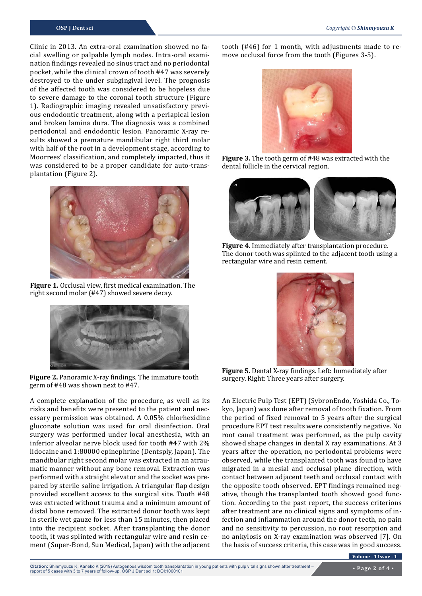Clinic in 2013. An extra-oral examination showed no facial swelling or palpable lymph nodes. Intra-oral examination findings revealed no sinus tract and no periodontal pocket, while the clinical crown of tooth #47 was severely destroyed to the under subgingival level. The prognosis of the affected tooth was considered to be hopeless due to severe damage to the coronal tooth structure (Figure 1). Radiographic imaging revealed unsatisfactory previous endodontic treatment, along with a periapical lesion and broken lamina dura. The diagnosis was a combined periodontal and endodontic lesion. Panoramic X-ray results showed a premature mandibular right third molar with half of the root in a development stage, according to Moorrees' classification, and completely impacted, thus it was considered to be a proper candidate for auto-transplantation (Figure 2).



**Figure 1.** Occlusal view, first medical examination. The right second molar (#47) showed severe decay.



**Figure 2.** Panoramic X-ray findings. The immature tooth germ of #48 was shown next to #47.

A complete explanation of the procedure, as well as its risks and benefits were presented to the patient and necessary permission was obtained. A 0.05% chlorhexidine gluconate solution was used for oral disinfection. Oral surgery was performed under local anesthesia, with an inferior alveolar nerve block used for tooth #47 with 2% lidocaine and 1:80000 epinephrine (Dentsply, Japan). The mandibular right second molar was extracted in an atraumatic manner without any bone removal. Extraction was performed with a straight elevator and the socket was prepared by sterile saline irrigation. A triangular flap design provided excellent access to the surgical site. Tooth #48 was extracted without trauma and a minimum amount of distal bone removed. The extracted donor tooth was kept in sterile wet gauze for less than 15 minutes, then placed into the recipient socket. After transplanting the donor tooth, it was splinted with rectangular wire and resin cement (Super-Bond, Sun Medical, Japan) with the adjacent tooth (#46) for 1 month, with adjustments made to remove occlusal force from the tooth (Figures 3-5).



**Figure 3.** The tooth germ of #48 was extracted with the dental follicle in the cervical region.



**Figure 4.** Immediately after transplantation procedure. The donor tooth was splinted to the adjacent tooth using a rectangular wire and resin cement.



**Figure 5.** Dental X-ray findings. Left: Immediately after surgery. Right: Three years after surgery.

An Electric Pulp Test (EPT) (SybronEndo, Yoshida Co., Tokyo, Japan) was done after removal of tooth fixation. From the period of fixed removal to 5 years after the surgical procedure EPT test results were consistently negative. No root canal treatment was performed, as the pulp cavity showed shape changes in dental X ray examinations. At 3 years after the operation, no periodontal problems were observed, while the transplanted tooth was found to have migrated in a mesial and occlusal plane direction, with contact between adjacent teeth and occlusal contact with the opposite tooth observed. EPT findings remained negative, though the transplanted tooth showed good function. According to the past report, the success criterions after treatment are no clinical signs and symptoms of infection and inflammation around the donor teeth, no pain and no sensitivity to percussion, no root resorption and no ankylosis on X-ray examination was observed [7]. On the basis of success criteria, this case was in good success.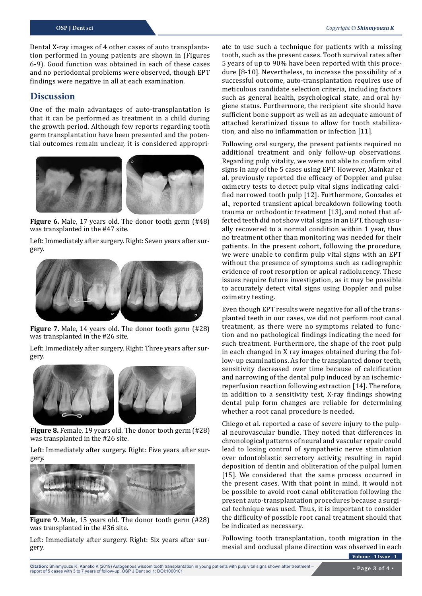Dental X-ray images of 4 other cases of auto transplantation performed in young patients are shown in (Figures 6-9). Good function was obtained in each of these cases and no periodontal problems were observed, though EPT findings were negative in all at each examination.

### **Discussion**

One of the main advantages of auto-transplantation is that it can be performed as treatment in a child during the growth period. Although few reports regarding tooth germ transplantation have been presented and the potential outcomes remain unclear, it is considered appropri-



**Figure 6.** Male, 17 years old. The donor tooth germ (#48) was transplanted in the #47 site.

Left: Immediately after surgery. Right: Seven years after surgery.



**Figure 7.** Male, 14 years old. The donor tooth germ (#28) was transplanted in the #26 site.

Left: Immediately after surgery. Right: Three years after surgery.



**Figure 8.** Female, 19 years old. The donor tooth germ (#28) was transplanted in the #26 site.

Left: Immediately after surgery. Right: Five years after surgery.



**Figure 9.** Male, 15 years old. The donor tooth germ (#28) was transplanted in the #36 site.

Left: Immediately after surgery. Right: Six years after surgery.

ate to use such a technique for patients with a missing tooth, such as the present cases. Tooth survival rates after 5 years of up to 90% have been reported with this procedure [8-10]. Nevertheless, to increase the possibility of a successful outcome, auto-transplantation requires use of meticulous candidate selection criteria, including factors such as general health, psychological state, and oral hygiene status. Furthermore, the recipient site should have sufficient bone support as well as an adequate amount of attached keratinized tissue to allow for tooth stabilization, and also no inflammation or infection [11].

Following oral surgery, the present patients required no additional treatment and only follow-up observations. Regarding pulp vitality, we were not able to confirm vital signs in any of the 5 cases using EPT. However, Mainkar et al. previously reported the efficacy of Doppler and pulse oximetry tests to detect pulp vital signs indicating calcified narrowed tooth pulp [12]. Furthermore, Gonzales et al., reported transient apical breakdown following tooth trauma or orthodontic treatment [13], and noted that affected teeth did not show vital signs in an EPT, though usually recovered to a normal condition within 1 year, thus no treatment other than monitoring was needed for their patients. In the present cohort, following the procedure, we were unable to confirm pulp vital signs with an EPT without the presence of symptoms such as radiographic evidence of root resorption or apical radiolucency. These issues require future investigation, as it may be possible to accurately detect vital signs using Doppler and pulse oximetry testing.

Even though EPT results were negative for all of the transplanted teeth in our cases, we did not perform root canal treatment, as there were no symptoms related to function and no pathological findings indicating the need for such treatment. Furthermore, the shape of the root pulp in each changed in X ray images obtained during the follow-up examinations. As for the transplanted donor teeth, sensitivity decreased over time because of calcification and narrowing of the dental pulp induced by an ischemicreperfusion reaction following extraction [14]. Therefore, in addition to a sensitivity test, X-ray findings showing dental pulp form changes are reliable for determining whether a root canal procedure is needed.

Chiego et al. reported a case of severe injury to the pulpal neurovascular bundle. They noted that differences in chronological patterns of neural and vascular repair could lead to losing control of sympathetic nerve stimulation over odontoblastic secretory activity, resulting in rapid deposition of dentin and obliteration of the pulpal lumen [15]. We considered that the same process occurred in the present cases. With that point in mind, it would not be possible to avoid root canal obliteration following the present auto-transplantation procedures because a surgical technique was used. Thus, it is important to consider the difficulty of possible root canal treatment should that be indicated as necessary.

Following tooth transplantation, tooth migration in the mesial and occlusal plane direction was observed in each